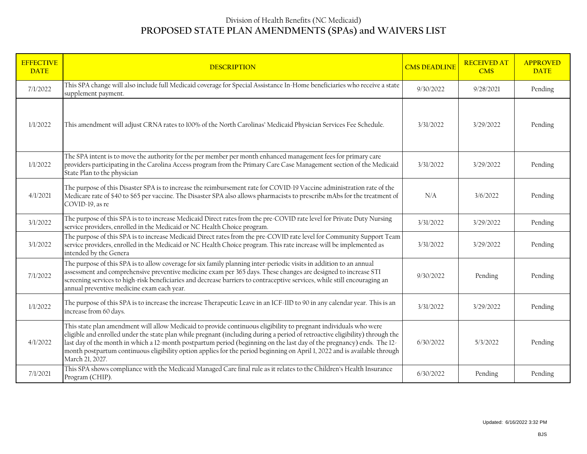## Division of Health Benefits (NC Medicaid) **PROPOSED STATE PLAN AMENDMENTS (SPAs) and WAIVERS LIST**

| <b>EFFECTIVE</b><br><b>DATE</b> | <b>DESCRIPTION</b>                                                                                                                                                                                                                                                                                                                                                                                                                                                                                                         | <b>CMS DEADLINE</b> | <b>RECEIVED AT</b><br><b>CMS</b> | <b>APPROVED</b><br><b>DATE</b> |
|---------------------------------|----------------------------------------------------------------------------------------------------------------------------------------------------------------------------------------------------------------------------------------------------------------------------------------------------------------------------------------------------------------------------------------------------------------------------------------------------------------------------------------------------------------------------|---------------------|----------------------------------|--------------------------------|
| 7/1/2022                        | This SPA change will also include full Medicaid coverage for Special Assistance In-Home beneficiaries who receive a state<br>supplement payment.                                                                                                                                                                                                                                                                                                                                                                           | 9/30/2022           | 9/28/2021                        | Pending                        |
| 1/1/2022                        | This amendment will adjust CRNA rates to 100% of the North Carolinas' Medicaid Physician Services Fee Schedule.                                                                                                                                                                                                                                                                                                                                                                                                            | 3/31/2022           | 3/29/2022                        | Pending                        |
| 1/1/2022                        | The SPA intent is to move the authority for the per member per month enhanced management fees for primary care<br>providers participating in the Carolina Access program from the Primary Care Case Management section of the Medicaid<br>State Plan to the physician                                                                                                                                                                                                                                                      | 3/31/2022           | 3/29/2022                        | Pending                        |
| 4/1/2021                        | The purpose of this Disaster SPA is to increase the reimbursement rate for COVID-19 Vaccine administration rate of the<br>Medicare rate of \$40 to \$65 per vaccine. The Disaster SPA also allows pharmacists to prescribe mAbs for the treatment of<br>COVID-19, as re                                                                                                                                                                                                                                                    | $\rm N/A$           | 3/6/2022                         | Pending                        |
| 3/1/2022                        | The purpose of this SPA is to to increase Medicaid Direct rates from the pre-COVID rate level for Private Duty Nursing<br>service providers, enrolled in the Medicaid or NC Health Choice program.                                                                                                                                                                                                                                                                                                                         | 3/31/2022           | 3/29/2022                        | Pending                        |
| 3/1/2022                        | The purpose of this SPA is to increase Medicaid Direct rates from the pre-COVID rate level for Community Support Team<br>service providers, enrolled in the Medicaid or NC Health Choice program. This rate increase will be implemented as<br>intended by the Genera                                                                                                                                                                                                                                                      | 3/31/2022           | 3/29/2022                        | Pending                        |
| 7/1/2022                        | The purpose of this SPA is to allow coverage for six family planning inter-periodic visits in addition to an annual<br>assessment and comprehensive preventive medicine exam per 365 days. These changes are designed to increase STI<br>screening services to high-risk beneficiaries and decrease barriers to contraceptive services, while still encouraging an<br>annual preventive medicine exam each year.                                                                                                           | 9/30/2022           | Pending                          | Pending                        |
| 1/1/2022                        | The purpose of this SPA is to increase the increase Therapeutic Leave in an ICF-IID to 90 in any calendar year. This is an<br>increase from 60 days.                                                                                                                                                                                                                                                                                                                                                                       | 3/31/2022           | 3/29/2022                        | Pending                        |
| 4/1/2022                        | This state plan amendment will allow Medicaid to provide continuous eligibility to pregnant individuals who were<br>eligible and enrolled under the state plan while pregnant (including during a period of retroactive eligibility) through the<br>last day of the month in which a 12-month postpartum period (beginning on the last day of the pregnancy) ends. The 12-<br>month postpartum continuous eligibility option applies for the period beginning on April 1, 2022 and is available through<br>March 21, 2027. | 6/30/2022           | 5/3/2022                         | Pending                        |
| 7/1/2021                        | This SPA shows compliance with the Medicaid Managed Care final rule as it relates to the Children's Health Insurance<br>Program (CHIP).                                                                                                                                                                                                                                                                                                                                                                                    | 6/30/2022           | Pending                          | Pending                        |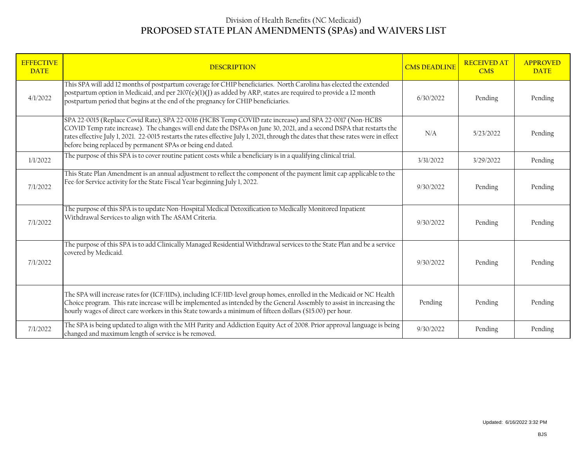## Division of Health Benefits (NC Medicaid) **PROPOSED STATE PLAN AMENDMENTS (SPAs) and WAIVERS LIST**

| <b>EFFECTIVE</b><br><b>DATE</b> | <b>DESCRIPTION</b>                                                                                                                                                                                                                                                                                                                                                                                                                   | <b>CMS DEADLINE</b> | <b>RECEIVED AT</b><br><b>CMS</b> | <b>APPROVED</b><br><b>DATE</b> |
|---------------------------------|--------------------------------------------------------------------------------------------------------------------------------------------------------------------------------------------------------------------------------------------------------------------------------------------------------------------------------------------------------------------------------------------------------------------------------------|---------------------|----------------------------------|--------------------------------|
| 4/1/2022                        | This SPA will add 12 months of postpartum coverage for CHIP beneficiaries. North Carolina has elected the extended<br>postpartum option in Medicaid, and per 2107(e)(1)(J) as added by ARP, states are required to provide a 12 month<br>postpartum period that begins at the end of the pregnancy for CHIP beneficiaries.                                                                                                           | 6/30/2022           | Pending                          | Pending                        |
|                                 | SPA 22-0015 (Replace Covid Rate), SPA 22-0016 (HCBS Temp COVID rate increase) and SPA 22-0017 (Non-HCBS<br>COVID Temp rate increase). The changes will end date the DSPAs on June 30, 2021, and a second DSPA that restarts the<br>rates effective July 1, 2021. 22-0015 restarts the rates effective July 1, 2021, through the dates that these rates were in effect<br>before being replaced by permanent SPAs or being end dated. | N/A                 | 5/23/2022                        | Pending                        |
| 1/1/2022                        | The purpose of this SPA is to cover routine patient costs while a beneficiary is in a qualifying clinical trial.                                                                                                                                                                                                                                                                                                                     | 3/31/2022           | 3/29/2022                        | Pending                        |
| 7/1/2022                        | This State Plan Amendment is an annual adjustment to reflect the component of the payment limit cap applicable to the<br>Fee-for Service activity for the State Fiscal Year beginning July 1, 2022.                                                                                                                                                                                                                                  | 9/30/2022           | Pending                          | Pending                        |
| 7/1/2022                        | The purpose of this SPA is to update Non-Hospital Medical Detoxification to Medically Monitored Inpatient<br>Withdrawal Services to align with The ASAM Criteria.                                                                                                                                                                                                                                                                    | 9/30/2022           | Pending                          | Pending                        |
| 7/1/2022                        | The purpose of this SPA is to add Clinically Managed Residential Withdrawal services to the State Plan and be a service<br>covered by Medicaid.                                                                                                                                                                                                                                                                                      | 9/30/2022           | Pending                          | Pending                        |
|                                 | The SPA will increase rates for (ICF/IIDs), including ICF/IID-level group homes, enrolled in the Medicaid or NC Health<br>Choice program. This rate increase will be implemented as intended by the General Assembly to assist in increasing the<br>hourly wages of direct care workers in this State towards a minimum of fifteen dollars (\$15.00) per hour.                                                                       | Pending             | Pending                          | Pending                        |
| 7/1/2022                        | The SPA is being updated to align with the MH Parity and Addiction Equity Act of 2008. Prior approval language is being<br>changed and maximum length of service is be removed.                                                                                                                                                                                                                                                      | 9/30/2022           | Pending                          | Pending                        |